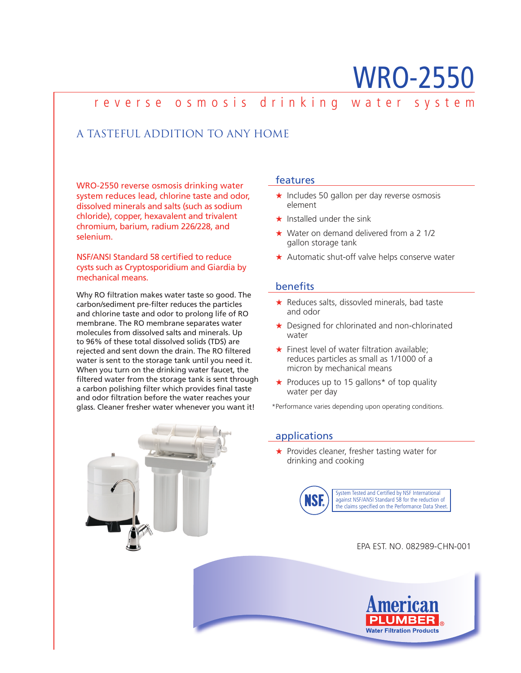# WRO-2550

## reverse osmosis drinking water system

## A TASTEFUL ADDITION TO ANY HOME

WRO-2550 reverse osmosis drinking water system reduces lead, chlorine taste and odor, dissolved minerals and salts (such as sodium chloride), copper, hexavalent and trivalent chromium, barium, radium 226/228, and selenium.

NSF/ANSI Standard 58 certified to reduce cysts such as Cryptosporidium and Giardia by mechanical means.

Why RO filtration makes water taste so good. The carbon/sediment pre-filter reduces the particles and chlorine taste and odor to prolong life of RO membrane. The RO membrane separates water molecules from dissolved salts and minerals. Up to 96% of these total dissolved solids (TDS) are rejected and sent down the drain. The RO filtered water is sent to the storage tank until you need it. When you turn on the drinking water faucet, the filtered water from the storage tank is sent through a carbon polishing filter which provides final taste and odor filtration before the water reaches your glass. Cleaner fresher water whenever you want it!



#### features

- ★ Includes 50 gallon per day reverse osmosis element
- ★ Installed under the sink
- ★ Water on demand delivered from a 2 1/2 gallon storage tank
- ★ Automatic shut-off valve helps conserve water

#### **benefits**

- ★ Reduces salts, dissovled minerals, bad taste and odor
- ★ Designed for chlorinated and non-chlorinated water
- $\star$  Finest level of water filtration available; reduces particles as small as 1/1000 of a micron by mechanical means
- ★ Produces up to 15 gallons\* of top quality water per day

\*Performance varies depending upon operating conditions.

### applications

★ Provides cleaner, fresher tasting water for drinking and cooking



EPA EST. NO. 082989-CHN-001